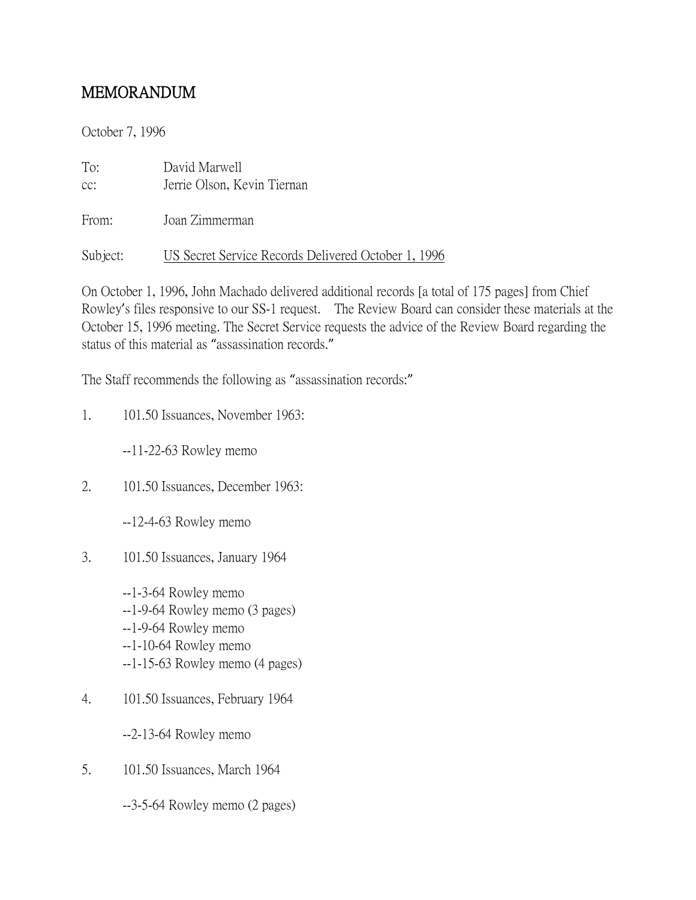## MEMORANDUM

October 7, 1996

| To:<br>CC: | David Marwell<br>Jerrie Olson, Kevin Tiernan        |
|------------|-----------------------------------------------------|
| From:      | Joan Zimmerman                                      |
| Subject:   | US Secret Service Records Delivered October 1, 1996 |

On October 1, 1996, John Machado delivered additional records [a total of 175 pages] from Chief Rowley's files responsive to our SS-1 request. The Review Board can consider these materials at the October 15, 1996 meeting. The Secret Service requests the advice of the Review Board regarding the status of this material as "assassination records."

The Staff recommends the following as "assassination records:"

1. 101.50 Issuances, November 1963:

--11-22-63 Rowley memo

2. 101.50 Issuances, December 1963:

--12-4-63 Rowley memo

3. 101.50 Issuances, January 1964

--1-3-64 Rowley memo --1-9-64 Rowley memo (3 pages) --1-9-64 Rowley memo --1-10-64 Rowley memo --1-15-63 Rowley memo (4 pages)

4. 101.50 Issuances, February 1964

--2-13-64 Rowley memo

5. 101.50 Issuances, March 1964

--3-5-64 Rowley memo (2 pages)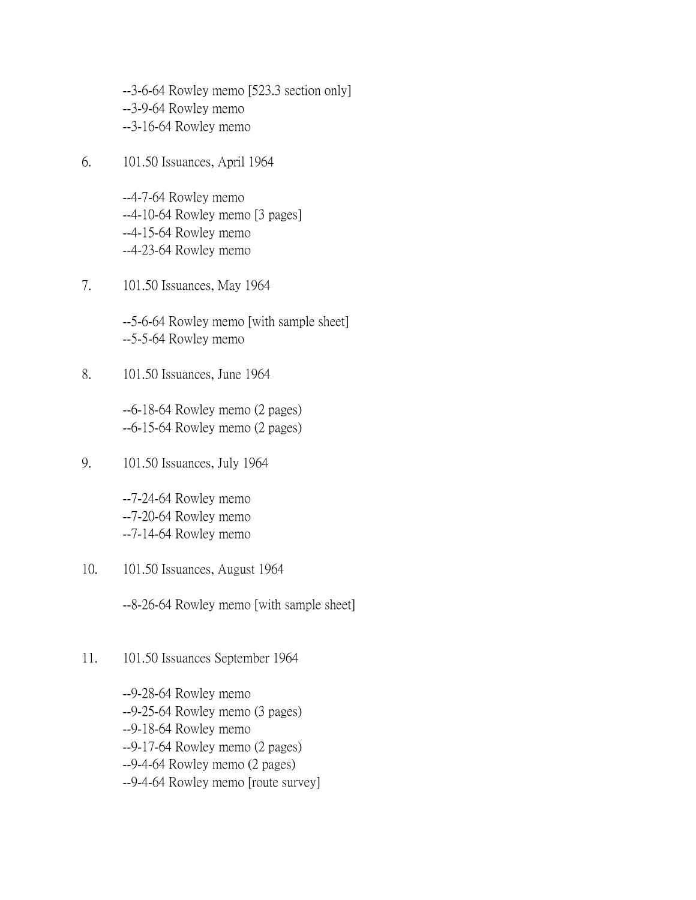--3-6-64 Rowley memo [523.3 section only] --3-9-64 Rowley memo --3-16-64 Rowley memo

6. 101.50 Issuances, April 1964

--4-7-64 Rowley memo --4-10-64 Rowley memo [3 pages] --4-15-64 Rowley memo --4-23-64 Rowley memo

7. 101.50 Issuances, May 1964

--5-6-64 Rowley memo [with sample sheet] --5-5-64 Rowley memo

8. 101.50 Issuances, June 1964

--6-18-64 Rowley memo (2 pages) --6-15-64 Rowley memo (2 pages)

9. 101.50 Issuances, July 1964

--7-24-64 Rowley memo --7-20-64 Rowley memo --7-14-64 Rowley memo

10. 101.50 Issuances, August 1964

--8-26-64 Rowley memo [with sample sheet]

11. 101.50 Issuances September 1964

--9-28-64 Rowley memo --9-25-64 Rowley memo (3 pages) --9-18-64 Rowley memo --9-17-64 Rowley memo (2 pages) --9-4-64 Rowley memo (2 pages) --9-4-64 Rowley memo [route survey]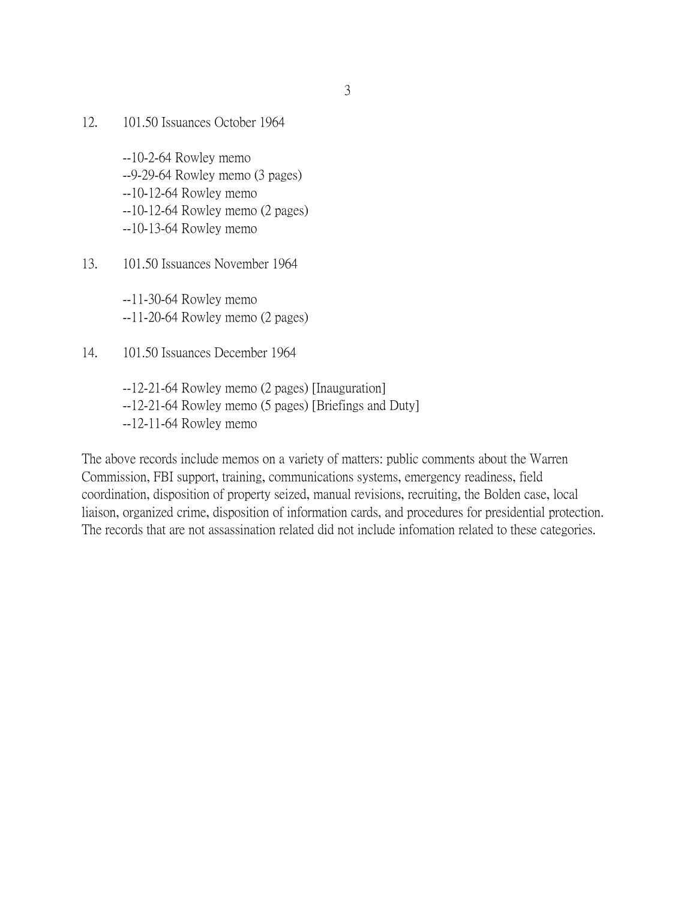12. 101.50 Issuances October 1964

--10-2-64 Rowley memo --9-29-64 Rowley memo (3 pages) --10-12-64 Rowley memo --10-12-64 Rowley memo (2 pages) --10-13-64 Rowley memo

13. 101.50 Issuances November 1964

--11-30-64 Rowley memo --11-20-64 Rowley memo (2 pages)

- 14. 101.50 Issuances December 1964
	- --12-21-64 Rowley memo (2 pages) [Inauguration] --12-21-64 Rowley memo (5 pages) [Briefings and Duty] --12-11-64 Rowley memo

The above records include memos on a variety of matters: public comments about the Warren Commission, FBI support, training, communications systems, emergency readiness, field coordination, disposition of property seized, manual revisions, recruiting, the Bolden case, local liaison, organized crime, disposition of information cards, and procedures for presidential protection. The records that are not assassination related did not include infomation related to these categories.